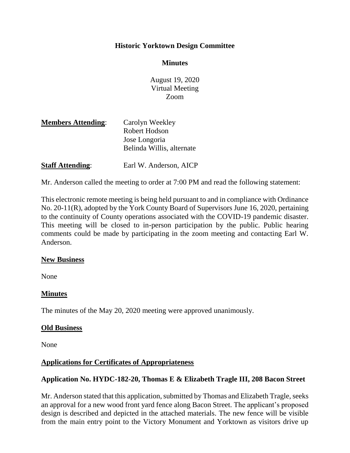# **Historic Yorktown Design Committee**

## **Minutes**

August 19, 2020 Virtual Meeting Zoom

| Carolyn Weekley           |
|---------------------------|
| Robert Hodson             |
| Jose Longoria             |
| Belinda Willis, alternate |
|                           |
|                           |

**Staff Attending:** Earl W. Anderson, AICP

Mr. Anderson called the meeting to order at 7:00 PM and read the following statement:

This electronic remote meeting is being held pursuant to and in compliance with Ordinance No. 20-11(R), adopted by the York County Board of Supervisors June 16, 2020, pertaining to the continuity of County operations associated with the COVID-19 pandemic disaster. This meeting will be closed to in-person participation by the public. Public hearing comments could be made by participating in the zoom meeting and contacting Earl W. Anderson.

# **New Business**

None

# **Minutes**

The minutes of the May 20, 2020 meeting were approved unanimously.

# **Old Business**

None

# **Applications for Certificates of Appropriateness**

# **Application No. HYDC-182-20, Thomas E & Elizabeth Tragle III, 208 Bacon Street**

Mr. Anderson stated that this application, submitted by Thomas and Elizabeth Tragle, seeks an approval for a new wood front yard fence along Bacon Street. The applicant's proposed design is described and depicted in the attached materials. The new fence will be visible from the main entry point to the Victory Monument and Yorktown as visitors drive up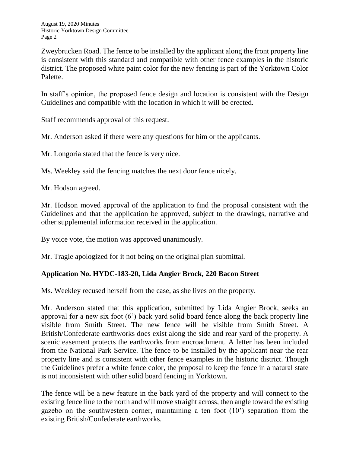August 19, 2020 Minutes Historic Yorktown Design Committee Page 2

Zweybrucken Road. The fence to be installed by the applicant along the front property line is consistent with this standard and compatible with other fence examples in the historic district. The proposed white paint color for the new fencing is part of the Yorktown Color Palette.

In staff's opinion, the proposed fence design and location is consistent with the Design Guidelines and compatible with the location in which it will be erected.

Staff recommends approval of this request.

Mr. Anderson asked if there were any questions for him or the applicants.

Mr. Longoria stated that the fence is very nice.

Ms. Weekley said the fencing matches the next door fence nicely.

Mr. Hodson agreed.

Mr. Hodson moved approval of the application to find the proposal consistent with the Guidelines and that the application be approved, subject to the drawings, narrative and other supplemental information received in the application.

By voice vote, the motion was approved unanimously.

Mr. Tragle apologized for it not being on the original plan submittal.

# **Application No. HYDC-183-20, Lida Angier Brock, 220 Bacon Street**

Ms. Weekley recused herself from the case, as she lives on the property.

Mr. Anderson stated that this application, submitted by Lida Angier Brock, seeks an approval for a new six foot (6') back yard solid board fence along the back property line visible from Smith Street. The new fence will be visible from Smith Street. A British/Confederate earthworks does exist along the side and rear yard of the property. A scenic easement protects the earthworks from encroachment. A letter has been included from the National Park Service. The fence to be installed by the applicant near the rear property line and is consistent with other fence examples in the historic district. Though the Guidelines prefer a white fence color, the proposal to keep the fence in a natural state is not inconsistent with other solid board fencing in Yorktown.

The fence will be a new feature in the back yard of the property and will connect to the existing fence line to the north and will move straight across, then angle toward the existing gazebo on the southwestern corner, maintaining a ten foot (10') separation from the existing British/Confederate earthworks.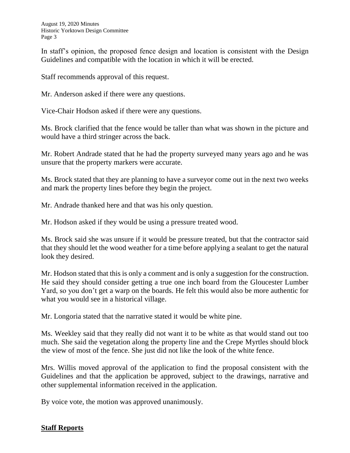In staff's opinion, the proposed fence design and location is consistent with the Design Guidelines and compatible with the location in which it will be erected.

Staff recommends approval of this request.

Mr. Anderson asked if there were any questions.

Vice-Chair Hodson asked if there were any questions.

Ms. Brock clarified that the fence would be taller than what was shown in the picture and would have a third stringer across the back.

Mr. Robert Andrade stated that he had the property surveyed many years ago and he was unsure that the property markers were accurate.

Ms. Brock stated that they are planning to have a surveyor come out in the next two weeks and mark the property lines before they begin the project.

Mr. Andrade thanked here and that was his only question.

Mr. Hodson asked if they would be using a pressure treated wood.

Ms. Brock said she was unsure if it would be pressure treated, but that the contractor said that they should let the wood weather for a time before applying a sealant to get the natural look they desired.

Mr. Hodson stated that this is only a comment and is only a suggestion for the construction. He said they should consider getting a true one inch board from the Gloucester Lumber Yard, so you don't get a warp on the boards. He felt this would also be more authentic for what you would see in a historical village.

Mr. Longoria stated that the narrative stated it would be white pine.

Ms. Weekley said that they really did not want it to be white as that would stand out too much. She said the vegetation along the property line and the Crepe Myrtles should block the view of most of the fence. She just did not like the look of the white fence.

Mrs. Willis moved approval of the application to find the proposal consistent with the Guidelines and that the application be approved, subject to the drawings, narrative and other supplemental information received in the application.

By voice vote, the motion was approved unanimously.

# **Staff Reports**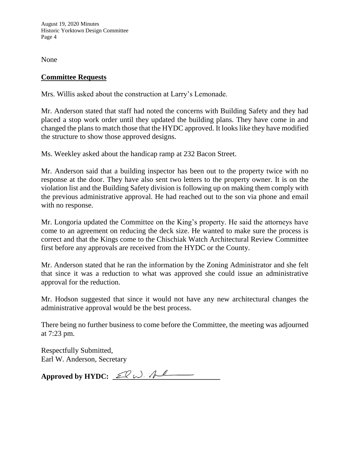August 19, 2020 Minutes Historic Yorktown Design Committee Page 4

None

# **Committee Requests**

Mrs. Willis asked about the construction at Larry's Lemonade.

Mr. Anderson stated that staff had noted the concerns with Building Safety and they had placed a stop work order until they updated the building plans. They have come in and changed the plans to match those that the HYDC approved. It looks like they have modified the structure to show those approved designs.

Ms. Weekley asked about the handicap ramp at 232 Bacon Street.

Mr. Anderson said that a building inspector has been out to the property twice with no response at the door. They have also sent two letters to the property owner. It is on the violation list and the Building Safety division is following up on making them comply with the previous administrative approval. He had reached out to the son via phone and email with no response.

Mr. Longoria updated the Committee on the King's property. He said the attorneys have come to an agreement on reducing the deck size. He wanted to make sure the process is correct and that the Kings come to the Chischiak Watch Architectural Review Committee first before any approvals are received from the HYDC or the County.

Mr. Anderson stated that he ran the information by the Zoning Administrator and she felt that since it was a reduction to what was approved she could issue an administrative approval for the reduction.

Mr. Hodson suggested that since it would not have any new architectural changes the administrative approval would be the best process.

There being no further business to come before the Committee, the meeting was adjourned at 7:23 pm.

Respectfully Submitted, Earl W. Anderson, Secretary

Approved by HYDC: <u>EQ W. Al</u>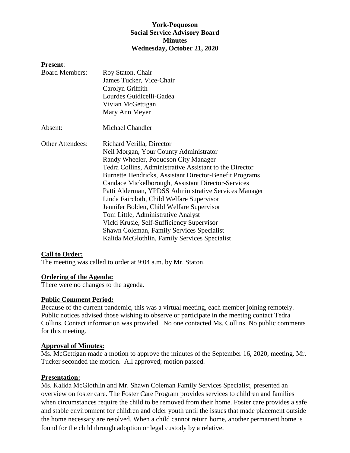## **York-Poquoson Social Service Advisory Board Minutes Wednesday, October 21, 2020**

### **Present**:

| <b>Board Members:</b>   | Roy Staton, Chair                                       |
|-------------------------|---------------------------------------------------------|
|                         | James Tucker, Vice-Chair                                |
|                         | Carolyn Griffith                                        |
|                         | Lourdes Guidicelli-Gadea                                |
|                         | Vivian McGettigan                                       |
|                         | Mary Ann Meyer                                          |
| Absent:                 | Michael Chandler                                        |
| <b>Other Attendees:</b> | Richard Verilla, Director                               |
|                         | Neil Morgan, Your County Administrator                  |
|                         | Randy Wheeler, Poquoson City Manager                    |
|                         | Tedra Collins, Administrative Assistant to the Director |
|                         | Burnette Hendricks, Assistant Director-Benefit Programs |
|                         | Candace Mickelborough, Assistant Director-Services      |
|                         | Patti Alderman, YPDSS Administrative Services Manager   |
|                         | Linda Faircloth, Child Welfare Supervisor               |
|                         | Jennifer Bolden, Child Welfare Supervisor               |
|                         | Tom Little, Administrative Analyst                      |
|                         | Vicki Krusie, Self-Sufficiency Supervisor               |
|                         | <b>Shawn Coleman, Family Services Specialist</b>        |
|                         | Kalida McGlothlin, Family Services Specialist           |

# **Call to Order:**

The meeting was called to order at 9:04 a.m. by Mr. Staton.

### **Ordering of the Agenda:**

There were no changes to the agenda.

### **Public Comment Period:**

Because of the current pandemic, this was a virtual meeting, each member joining remotely. Public notices advised those wishing to observe or participate in the meeting contact Tedra Collins. Contact information was provided. No one contacted Ms. Collins. No public comments for this meeting.

## **Approval of Minutes:**

Ms. McGettigan made a motion to approve the minutes of the September 16, 2020, meeting. Mr. Tucker seconded the motion. All approved; motion passed.

### **Presentation:**

Ms. Kalida McGlothlin and Mr. Shawn Coleman Family Services Specialist, presented an overview on foster care. The Foster Care Program provides services to children and families when circumstances require the child to be removed from their home. Foster care provides a safe and stable environment for children and older youth until the issues that made placement outside the home necessary are resolved. When a child cannot return home, another permanent home is found for the child through adoption or legal custody by a relative.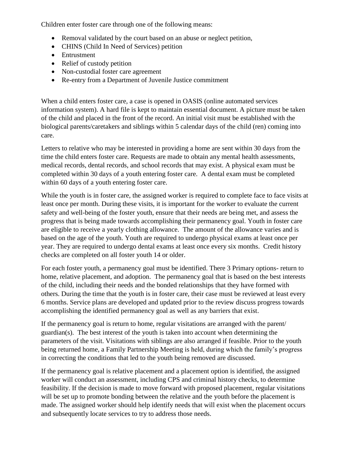Children enter foster care through one of the following means:

- Removal validated by the court based on an abuse or neglect petition,
- CHINS (Child In Need of Services) petition
- Entrustment
- Relief of custody petition
- Non-custodial foster care agreement
- Re-entry from a Department of Juvenile Justice commitment

When a child enters foster care, a case is opened in OASIS (online automated services information system). A hard file is kept to maintain essential document. A picture must be taken of the child and placed in the front of the record. An initial visit must be established with the biological parents/caretakers and siblings within 5 calendar days of the child (ren) coming into care.

Letters to relative who may be interested in providing a home are sent within 30 days from the time the child enters foster care. Requests are made to obtain any mental health assessments, medical records, dental records, and school records that may exist. A physical exam must be completed within 30 days of a youth entering foster care. A dental exam must be completed within 60 days of a youth entering foster care.

While the youth is in foster care, the assigned worker is required to complete face to face visits at least once per month. During these visits, it is important for the worker to evaluate the current safety and well-being of the foster youth, ensure that their needs are being met, and assess the progress that is being made towards accomplishing their permanency goal. Youth in foster care are eligible to receive a yearly clothing allowance. The amount of the allowance varies and is based on the age of the youth. Youth are required to undergo physical exams at least once per year. They are required to undergo dental exams at least once every six months. Credit history checks are completed on all foster youth 14 or older.

For each foster youth, a permanency goal must be identified. There 3 Primary options- return to home, relative placement, and adoption. The permanency goal that is based on the best interests of the child, including their needs and the bonded relationships that they have formed with others. During the time that the youth is in foster care, their case must be reviewed at least every 6 months. Service plans are developed and updated prior to the review discuss progress towards accomplishing the identified permanency goal as well as any barriers that exist.

If the permanency goal is return to home, regular visitations are arranged with the parent/ guardian(s). The best interest of the youth is taken into account when determining the parameters of the visit. Visitations with siblings are also arranged if feasible. Prior to the youth being returned home, a Family Partnership Meeting is held, during which the family's progress in correcting the conditions that led to the youth being removed are discussed.

If the permanency goal is relative placement and a placement option is identified, the assigned worker will conduct an assessment, including CPS and criminal history checks, to determine feasibility. If the decision is made to move forward with proposed placement, regular visitations will be set up to promote bonding between the relative and the youth before the placement is made. The assigned worker should help identify needs that will exist when the placement occurs and subsequently locate services to try to address those needs.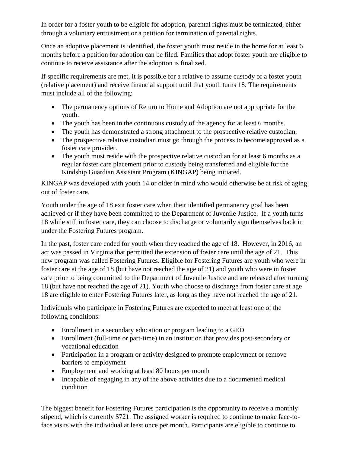In order for a foster youth to be eligible for adoption, parental rights must be terminated, either through a voluntary entrustment or a petition for termination of parental rights.

Once an adoptive placement is identified, the foster youth must reside in the home for at least 6 months before a petition for adoption can be filed. Families that adopt foster youth are eligible to continue to receive assistance after the adoption is finalized.

If specific requirements are met, it is possible for a relative to assume custody of a foster youth (relative placement) and receive financial support until that youth turns 18. The requirements must include all of the following:

- The permanency options of Return to Home and Adoption are not appropriate for the youth.
- The youth has been in the continuous custody of the agency for at least 6 months.
- The youth has demonstrated a strong attachment to the prospective relative custodian.
- The prospective relative custodian must go through the process to become approved as a foster care provider.
- The youth must reside with the prospective relative custodian for at least 6 months as a regular foster care placement prior to custody being transferred and eligible for the Kindship Guardian Assistant Program (KINGAP) being initiated.

KINGAP was developed with youth 14 or older in mind who would otherwise be at risk of aging out of foster care.

Youth under the age of 18 exit foster care when their identified permanency goal has been achieved or if they have been committed to the Department of Juvenile Justice. If a youth turns 18 while still in foster care, they can choose to discharge or voluntarily sign themselves back in under the Fostering Futures program.

In the past, foster care ended for youth when they reached the age of 18. However, in 2016, an act was passed in Virginia that permitted the extension of foster care until the age of 21. This new program was called Fostering Futures. Eligible for Fostering Futures are youth who were in foster care at the age of 18 (but have not reached the age of 21) and youth who were in foster care prior to being committed to the Department of Juvenile Justice and are released after turning 18 (but have not reached the age of 21). Youth who choose to discharge from foster care at age 18 are eligible to enter Fostering Futures later, as long as they have not reached the age of 21.

Individuals who participate in Fostering Futures are expected to meet at least one of the following conditions:

- Enrollment in a secondary education or program leading to a GED
- Enrollment (full-time or part-time) in an institution that provides post-secondary or vocational education
- Participation in a program or activity designed to promote employment or remove barriers to employment
- Employment and working at least 80 hours per month
- Incapable of engaging in any of the above activities due to a documented medical condition

The biggest benefit for Fostering Futures participation is the opportunity to receive a monthly stipend, which is currently \$721. The assigned worker is required to continue to make face-toface visits with the individual at least once per month. Participants are eligible to continue to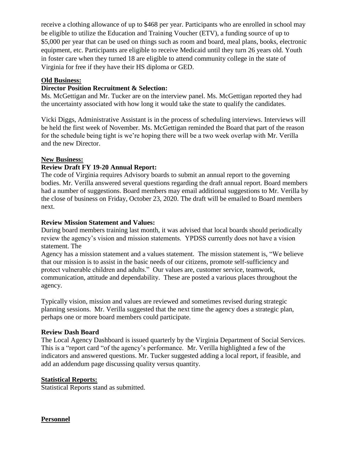receive a clothing allowance of up to \$468 per year. Participants who are enrolled in school may be eligible to utilize the Education and Training Voucher (ETV), a funding source of up to \$5,000 per year that can be used on things such as room and board, meal plans, books, electronic equipment, etc. Participants are eligible to receive Medicaid until they turn 26 years old. Youth in foster care when they turned 18 are eligible to attend community college in the state of Virginia for free if they have their HS diploma or GED.

### **Old Business:**

## **Director Position Recruitment & Selection:**

Ms. McGettigan and Mr. Tucker are on the interview panel. Ms. McGettigan reported they had the uncertainty associated with how long it would take the state to qualify the candidates.

Vicki Diggs, Administrative Assistant is in the process of scheduling interviews. Interviews will be held the first week of November. Ms. McGettigan reminded the Board that part of the reason for the schedule being tight is we're hoping there will be a two week overlap with Mr. Verilla and the new Director.

## **New Business:**

## **Review Draft FY 19-20 Annual Report:**

The code of Virginia requires Advisory boards to submit an annual report to the governing bodies. Mr. Verilla answered several questions regarding the draft annual report. Board members had a number of suggestions. Board members may email additional suggestions to Mr. Verilla by the close of business on Friday, October 23, 2020. The draft will be emailed to Board members next.

### **Review Mission Statement and Values:**

During board members training last month, it was advised that local boards should periodically review the agency's vision and mission statements. YPDSS currently does not have a vision statement. The

Agency has a mission statement and a values statement. The mission statement is, "We believe that our mission is to assist in the basic needs of our citizens, promote self-sufficiency and protect vulnerable children and adults." Our values are, customer service, teamwork, communication, attitude and dependability. These are posted a various places throughout the agency.

Typically vision, mission and values are reviewed and sometimes revised during strategic planning sessions. Mr. Verilla suggested that the next time the agency does a strategic plan, perhaps one or more board members could participate.

### **Review Dash Board**

The Local Agency Dashboard is issued quarterly by the Virginia Department of Social Services. This is a "report card "of the agency's performance. Mr. Verilla highlighted a few of the indicators and answered questions. Mr. Tucker suggested adding a local report, if feasible, and add an addendum page discussing quality versus quantity.

### **Statistical Reports:**

Statistical Reports stand as submitted.